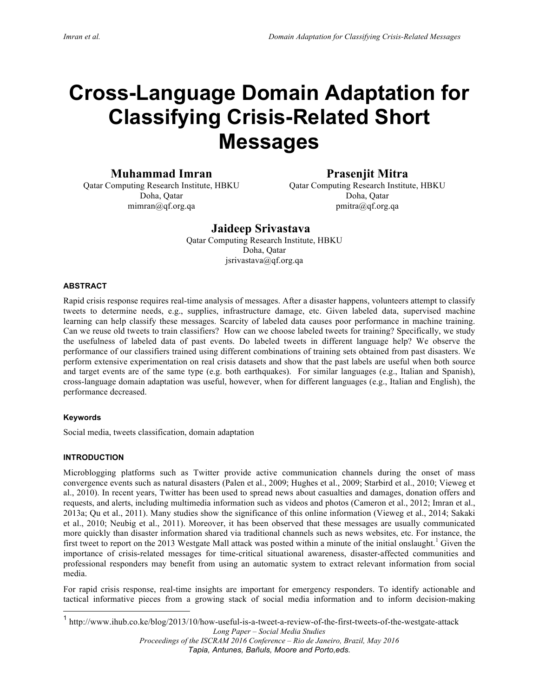# **Cross-Language Domain Adaptation for Classifying Crisis-Related Short Messages**

**Muhammad Imran**

Qatar Computing Research Institute, HBKU Doha, Qatar mimran@qf.org.qa

# **Prasenjit Mitra**

Qatar Computing Research Institute, HBKU Doha, Qatar pmitra@qf.org.qa

# **Jaideep Srivastava**

Qatar Computing Research Institute, HBKU Doha, Qatar jsrivastava@qf.org.qa

# **ABSTRACT**

Rapid crisis response requires real-time analysis of messages. After a disaster happens, volunteers attempt to classify tweets to determine needs, e.g., supplies, infrastructure damage, etc. Given labeled data, supervised machine learning can help classify these messages. Scarcity of labeled data causes poor performance in machine training. Can we reuse old tweets to train classifiers? How can we choose labeled tweets for training? Specifically, we study the usefulness of labeled data of past events. Do labeled tweets in different language help? We observe the performance of our classifiers trained using different combinations of training sets obtained from past disasters. We perform extensive experimentation on real crisis datasets and show that the past labels are useful when both source and target events are of the same type (e.g. both earthquakes). For similar languages (e.g., Italian and Spanish), cross-language domain adaptation was useful, however, when for different languages (e.g., Italian and English), the performance decreased.

#### **Keywords**

Social media, tweets classification, domain adaptation

#### **INTRODUCTION**

Microblogging platforms such as Twitter provide active communication channels during the onset of mass convergence events such as natural disasters (Palen et al., 2009; Hughes et al., 2009; Starbird et al., 2010; Vieweg et al., 2010). In recent years, Twitter has been used to spread news about casualties and damages, donation offers and requests, and alerts, including multimedia information such as videos and photos (Cameron et al., 2012; Imran et al., 2013a; Qu et al., 2011). Many studies show the significance of this online information (Vieweg et al., 2014; Sakaki et al., 2010; Neubig et al., 2011). Moreover, it has been observed that these messages are usually communicated more quickly than disaster information shared via traditional channels such as news websites, etc. For instance, the first tweet to report on the 2013 Westgate Mall attack was posted within a minute of the initial onslaught.<sup>1</sup> Given the importance of crisis-related messages for time-critical situational awareness, disaster-affected communities and professional responders may benefit from using an automatic system to extract relevant information from social media.

For rapid crisis response, real-time insights are important for emergency responders. To identify actionable and tactical informative pieces from a growing stack of social media information and to inform decision-making

 <sup>1</sup> http://www.ihub.co.ke/blog/2013/10/how-useful-is-a-tweet-a-review-of-the-first-tweets-of-the-westgate-attack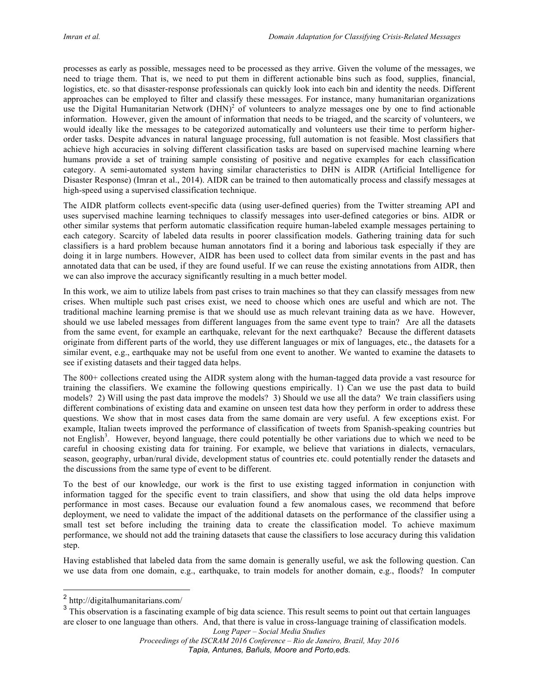processes as early as possible, messages need to be processed as they arrive. Given the volume of the messages, we need to triage them. That is, we need to put them in different actionable bins such as food, supplies, financial, logistics, etc. so that disaster-response professionals can quickly look into each bin and identity the needs. Different approaches can be employed to filter and classify these messages. For instance, many humanitarian organizations use the Digital Humanitarian Network  $(DHN)^2$  of volunteers to analyze messages one by one to find actionable information. However, given the amount of information that needs to be triaged, and the scarcity of volunteers, we would ideally like the messages to be categorized automatically and volunteers use their time to perform higherorder tasks. Despite advances in natural language processing, full automation is not feasible. Most classifiers that achieve high accuracies in solving different classification tasks are based on supervised machine learning where humans provide a set of training sample consisting of positive and negative examples for each classification category. A semi-automated system having similar characteristics to DHN is AIDR (Artificial Intelligence for Disaster Response) (Imran et al., 2014). AIDR can be trained to then automatically process and classify messages at high-speed using a supervised classification technique.

The AIDR platform collects event-specific data (using user-defined queries) from the Twitter streaming API and uses supervised machine learning techniques to classify messages into user-defined categories or bins. AIDR or other similar systems that perform automatic classification require human-labeled example messages pertaining to each category. Scarcity of labeled data results in poorer classification models. Gathering training data for such classifiers is a hard problem because human annotators find it a boring and laborious task especially if they are doing it in large numbers. However, AIDR has been used to collect data from similar events in the past and has annotated data that can be used, if they are found useful. If we can reuse the existing annotations from AIDR, then we can also improve the accuracy significantly resulting in a much better model.

In this work, we aim to utilize labels from past crises to train machines so that they can classify messages from new crises. When multiple such past crises exist, we need to choose which ones are useful and which are not. The traditional machine learning premise is that we should use as much relevant training data as we have. However, should we use labeled messages from different languages from the same event type to train? Are all the datasets from the same event, for example an earthquake, relevant for the next earthquake? Because the different datasets originate from different parts of the world, they use different languages or mix of languages, etc., the datasets for a similar event, e.g., earthquake may not be useful from one event to another. We wanted to examine the datasets to see if existing datasets and their tagged data helps.

The 800+ collections created using the AIDR system along with the human-tagged data provide a vast resource for training the classifiers. We examine the following questions empirically. 1) Can we use the past data to build models? 2) Will using the past data improve the models? 3) Should we use all the data? We train classifiers using different combinations of existing data and examine on unseen test data how they perform in order to address these questions. We show that in most cases data from the same domain are very useful. A few exceptions exist. For example, Italian tweets improved the performance of classification of tweets from Spanish-speaking countries but not English<sup>3</sup>. However, beyond language, there could potentially be other variations due to which we need to be careful in choosing existing data for training. For example, we believe that variations in dialects, vernaculars, season, geography, urban/rural divide, development status of countries etc. could potentially render the datasets and the discussions from the same type of event to be different.

To the best of our knowledge, our work is the first to use existing tagged information in conjunction with information tagged for the specific event to train classifiers, and show that using the old data helps improve performance in most cases. Because our evaluation found a few anomalous cases, we recommend that before deployment, we need to validate the impact of the additional datasets on the performance of the classifier using a small test set before including the training data to create the classification model. To achieve maximum performance, we should not add the training datasets that cause the classifiers to lose accuracy during this validation step.

Having established that labeled data from the same domain is generally useful, we ask the following question. Can we use data from one domain, e.g., earthquake, to train models for another domain, e.g., floods? In computer

*Proceedings of the ISCRAM 2016 Conference – Rio de Janeiro, Brazil, May 2016 Tapia, Antunes, Bañuls, Moore and Porto,eds.*

 <sup>2</sup> http://digitalhumanitarians.com/

<sup>&</sup>lt;sup>3</sup> This observation is a fascinating example of big data science. This result seems to point out that certain languages are closer to one language than others. And, that there is value in cross-language training of classification models.

*Long Paper – Social Media Studies*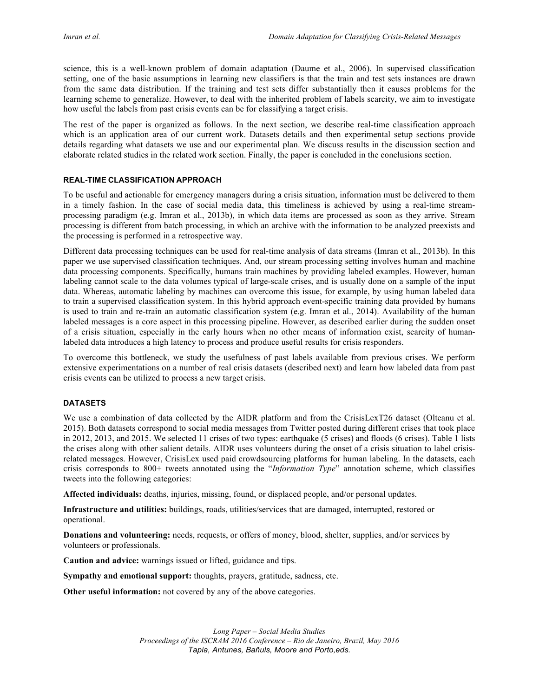science, this is a well-known problem of domain adaptation (Daume et al., 2006). In supervised classification setting, one of the basic assumptions in learning new classifiers is that the train and test sets instances are drawn from the same data distribution. If the training and test sets differ substantially then it causes problems for the learning scheme to generalize. However, to deal with the inherited problem of labels scarcity, we aim to investigate how useful the labels from past crisis events can be for classifying a target crisis.

The rest of the paper is organized as follows. In the next section, we describe real-time classification approach which is an application area of our current work. Datasets details and then experimental setup sections provide details regarding what datasets we use and our experimental plan. We discuss results in the discussion section and elaborate related studies in the related work section. Finally, the paper is concluded in the conclusions section.

## **REAL-TIME CLASSIFICATION APPROACH**

To be useful and actionable for emergency managers during a crisis situation, information must be delivered to them in a timely fashion. In the case of social media data, this timeliness is achieved by using a real-time streamprocessing paradigm (e.g. Imran et al., 2013b), in which data items are processed as soon as they arrive. Stream processing is different from batch processing, in which an archive with the information to be analyzed preexists and the processing is performed in a retrospective way.

Different data processing techniques can be used for real-time analysis of data streams (Imran et al., 2013b). In this paper we use supervised classification techniques. And, our stream processing setting involves human and machine data processing components. Specifically, humans train machines by providing labeled examples. However, human labeling cannot scale to the data volumes typical of large-scale crises, and is usually done on a sample of the input data. Whereas, automatic labeling by machines can overcome this issue, for example, by using human labeled data to train a supervised classification system. In this hybrid approach event-specific training data provided by humans is used to train and re-train an automatic classification system (e.g. Imran et al., 2014). Availability of the human labeled messages is a core aspect in this processing pipeline. However, as described earlier during the sudden onset of a crisis situation, especially in the early hours when no other means of information exist, scarcity of humanlabeled data introduces a high latency to process and produce useful results for crisis responders.

To overcome this bottleneck, we study the usefulness of past labels available from previous crises. We perform extensive experimentations on a number of real crisis datasets (described next) and learn how labeled data from past crisis events can be utilized to process a new target crisis.

# **DATASETS**

We use a combination of data collected by the AIDR platform and from the CrisisLexT26 dataset (Olteanu et al. 2015). Both datasets correspond to social media messages from Twitter posted during different crises that took place in 2012, 2013, and 2015. We selected 11 crises of two types: earthquake (5 crises) and floods (6 crises). Table 1 lists the crises along with other salient details. AIDR uses volunteers during the onset of a crisis situation to label crisisrelated messages. However, CrisisLex used paid crowdsourcing platforms for human labeling. In the datasets, each crisis corresponds to 800+ tweets annotated using the "*Information Type*" annotation scheme, which classifies tweets into the following categories:

**Affected individuals:** deaths, injuries, missing, found, or displaced people, and/or personal updates.

**Infrastructure and utilities:** buildings, roads, utilities/services that are damaged, interrupted, restored or operational.

**Donations and volunteering:** needs, requests, or offers of money, blood, shelter, supplies, and/or services by volunteers or professionals.

**Caution and advice:** warnings issued or lifted, guidance and tips.

**Sympathy and emotional support:** thoughts, prayers, gratitude, sadness, etc.

**Other useful information:** not covered by any of the above categories.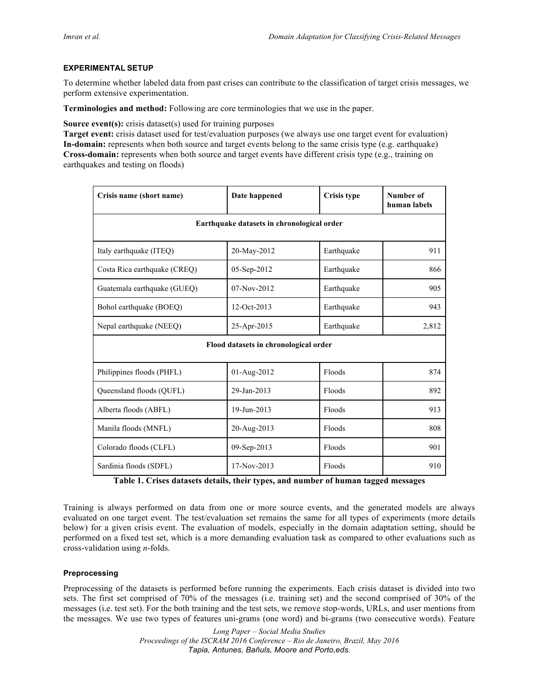## **EXPERIMENTAL SETUP**

To determine whether labeled data from past crises can contribute to the classification of target crisis messages, we perform extensive experimentation.

**Terminologies and method:** Following are core terminologies that we use in the paper.

**Source event(s):** crisis dataset(s) used for training purposes

**Target event:** crisis dataset used for test/evaluation purposes (we always use one target event for evaluation) **In-domain:** represents when both source and target events belong to the same crisis type (e.g. earthquake) **Cross-domain:** represents when both source and target events have different crisis type (e.g., training on earthquakes and testing on floods)

| Crisis name (short name)                   | Date happened | <b>Crisis type</b> | <b>Number of</b><br>human labels |  |  |  |
|--------------------------------------------|---------------|--------------------|----------------------------------|--|--|--|
| Earthquake datasets in chronological order |               |                    |                                  |  |  |  |
| Italy earthquake (ITEQ)                    | 20-May-2012   | Earthquake         | 911                              |  |  |  |
| Costa Rica earthquake (CREQ)               | 05-Sep-2012   | Earthquake         | 866                              |  |  |  |
| Guatemala earthquake (GUEQ)                | 07-Nov-2012   | Earthquake         | 905                              |  |  |  |
| Bohol earthquake (BOEQ)                    | 12-Oct-2013   | Earthquake         | 943                              |  |  |  |
| Nepal earthquake (NEEQ)                    | 25-Apr-2015   | Earthquake         | 2,812                            |  |  |  |
| Flood datasets in chronological order      |               |                    |                                  |  |  |  |
| Philippines floods (PHFL)                  | 01-Aug-2012   | Floods             | 874                              |  |  |  |
| Queensland floods (QUFL)                   | 29-Jan-2013   | Floods             | 892                              |  |  |  |
| Alberta floods (ABFL)                      | 19-Jun-2013   | Floods             | 913                              |  |  |  |
| Manila floods (MNFL)                       | 20-Aug-2013   | Floods             | 808                              |  |  |  |
| Colorado floods (CLFL)                     | 09-Sep-2013   | Floods             | 901                              |  |  |  |
| Sardinia floods (SDFL)                     | 17-Nov-2013   | Floods             | 910                              |  |  |  |

**Table 1. Crises datasets details, their types, and number of human tagged messages**

Training is always performed on data from one or more source events, and the generated models are always evaluated on one target event. The test/evaluation set remains the same for all types of experiments (more details below) for a given crisis event. The evaluation of models, especially in the domain adaptation setting, should be performed on a fixed test set, which is a more demanding evaluation task as compared to other evaluations such as cross-validation using *n*-folds.

# **Preprocessing**

Preprocessing of the datasets is performed before running the experiments. Each crisis dataset is divided into two sets. The first set comprised of 70% of the messages (i.e. training set) and the second comprised of 30% of the messages (i.e. test set). For the both training and the test sets, we remove stop-words, URLs, and user mentions from the messages. We use two types of features uni-grams (one word) and bi-grams (two consecutive words). Feature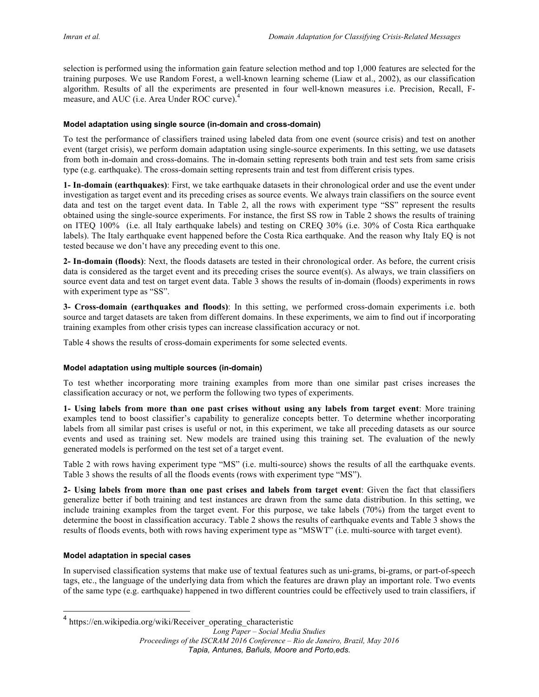selection is performed using the information gain feature selection method and top 1,000 features are selected for the training purposes. We use Random Forest, a well-known learning scheme (Liaw et al., 2002), as our classification algorithm. Results of all the experiments are presented in four well-known measures i.e. Precision, Recall, Fmeasure, and AUC (i.e. Area Under ROC curve).<sup>4</sup>

#### **Model adaptation using single source (in-domain and cross-domain)**

To test the performance of classifiers trained using labeled data from one event (source crisis) and test on another event (target crisis), we perform domain adaptation using single-source experiments. In this setting, we use datasets from both in-domain and cross-domains. The in-domain setting represents both train and test sets from same crisis type (e.g. earthquake). The cross-domain setting represents train and test from different crisis types.

**1- In-domain (earthquakes)**: First, we take earthquake datasets in their chronological order and use the event under investigation as target event and its preceding crises as source events. We always train classifiers on the source event data and test on the target event data. In Table 2, all the rows with experiment type "SS" represent the results obtained using the single-source experiments. For instance, the first SS row in Table 2 shows the results of training on ITEQ 100% (i.e. all Italy earthquake labels) and testing on CREQ 30% (i.e. 30% of Costa Rica earthquake labels). The Italy earthquake event happened before the Costa Rica earthquake. And the reason why Italy EQ is not tested because we don't have any preceding event to this one.

**2- In-domain (floods)**: Next, the floods datasets are tested in their chronological order. As before, the current crisis data is considered as the target event and its preceding crises the source event(s). As always, we train classifiers on source event data and test on target event data. Table 3 shows the results of in-domain (floods) experiments in rows with experiment type as "SS".

**3- Cross-domain (earthquakes and floods)**: In this setting, we performed cross-domain experiments i.e. both source and target datasets are taken from different domains. In these experiments, we aim to find out if incorporating training examples from other crisis types can increase classification accuracy or not.

Table 4 shows the results of cross-domain experiments for some selected events.

#### **Model adaptation using multiple sources (in-domain)**

To test whether incorporating more training examples from more than one similar past crises increases the classification accuracy or not, we perform the following two types of experiments.

**1- Using labels from more than one past crises without using any labels from target event**: More training examples tend to boost classifier's capability to generalize concepts better. To determine whether incorporating labels from all similar past crises is useful or not, in this experiment, we take all preceding datasets as our source events and used as training set. New models are trained using this training set. The evaluation of the newly generated models is performed on the test set of a target event.

Table 2 with rows having experiment type "MS" (i.e. multi-source) shows the results of all the earthquake events. Table 3 shows the results of all the floods events (rows with experiment type "MS").

**2- Using labels from more than one past crises and labels from target event**: Given the fact that classifiers generalize better if both training and test instances are drawn from the same data distribution. In this setting, we include training examples from the target event. For this purpose, we take labels (70%) from the target event to determine the boost in classification accuracy. Table 2 shows the results of earthquake events and Table 3 shows the results of floods events, both with rows having experiment type as "MSWT" (i.e. multi-source with target event).

#### **Model adaptation in special cases**

In supervised classification systems that make use of textual features such as uni-grams, bi-grams, or part-of-speech tags, etc., the language of the underlying data from which the features are drawn play an important role. Two events of the same type (e.g. earthquake) happened in two different countries could be effectively used to train classifiers, if

<sup>&</sup>lt;sup>4</sup> https://en.wikipedia.org/wiki/Receiver operating characteristic

*Long Paper – Social Media Studies Proceedings of the ISCRAM 2016 Conference – Rio de Janeiro, Brazil, May 2016 Tapia, Antunes, Bañuls, Moore and Porto,eds.*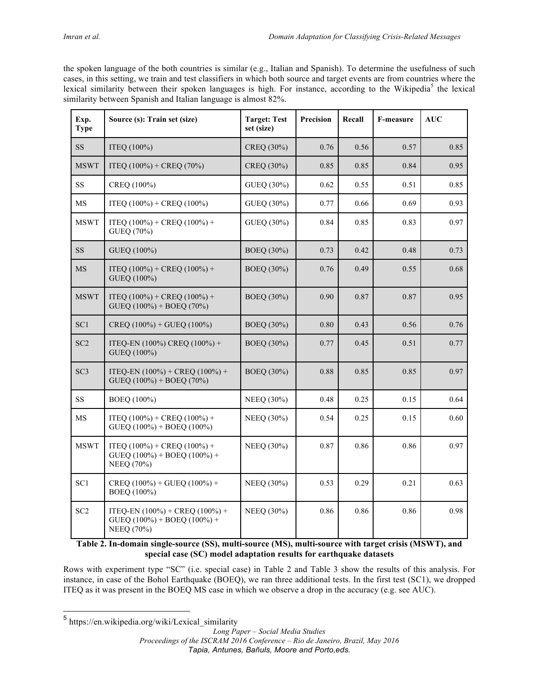the spoken language of the both countries is similar (e.g., Italian and Spanish). To determine the usefulness of such cases, in this setting, we train and test classifiers in which both source and target events are from countries where the lexical similarity between their spoken languages is high. For instance, according to the Wikipedia<sup>5</sup> the lexical similarity between Spanish and Italian language is almost 82%.

| Exp.<br><b>Type</b> | Source (s): Train set (size)                                                            | <b>Target: Test</b><br>set (size) | Precision | Recall | F-measure | <b>AUC</b> |
|---------------------|-----------------------------------------------------------------------------------------|-----------------------------------|-----------|--------|-----------|------------|
| <b>SS</b>           | ITEQ (100%)                                                                             | CREQ (30%)                        | 0.76      | 0.56   | 0.57      | 0.85       |
| <b>MSWT</b>         | ITEQ $(100\%)$ + CREQ $(70\%)$                                                          | CREQ (30%)                        | 0.85      | 0.85   | 0.84      | 0.95       |
| SS                  | CREQ (100%)                                                                             | GUEQ (30%)                        | 0.62      | 0.55   | 0.51      | 0.85       |
| MS                  | ITEO $(100\%)$ + CREO $(100\%)$                                                         | GUEO (30%)                        | 0.77      | 0.66   | 0.69      | 0.93       |
| <b>MSWT</b>         | ITEQ $(100\%)$ + CREQ $(100\%)$ +<br>GUEQ (70%)                                         | GUEQ (30%)                        | 0.84      | 0.85   | 0.83      | 0.97       |
| SS                  | GUEQ (100%)                                                                             | BOEQ (30%)                        | 0.73      | 0.42   | 0.48      | 0.73       |
| MS                  | ITEQ $(100\%)$ + CREQ $(100\%)$ +<br>GUEQ (100%)                                        | BOEQ (30%)                        | 0.76      | 0.49   | 0.55      | 0.68       |
| <b>MSWT</b>         | ITEO $(100\%)$ + CREO $(100\%)$ +<br>$GUEQ (100%) + BOEQ (70%)$                         | BOEQ (30%)                        | 0.90      | 0.87   | 0.87      | 0.95       |
| SC <sub>1</sub>     | $CREO (100%) + GUEO (100%)$                                                             | BOEQ (30%)                        | 0.80      | 0.43   | 0.56      | 0.76       |
| SC <sub>2</sub>     | ITEQ-EN (100%) CREQ (100%) +<br>GUEQ (100%)                                             | BOEQ (30%)                        | 0.77      | 0.45   | 0.51      | 0.77       |
| SC <sub>3</sub>     | ITEQ-EN $(100\%)$ + CREQ $(100\%)$ +<br>$GUEQ (100%) + BOEQ (70%)$                      | BOEQ (30%)                        | 0.88      | 0.85   | 0.85      | 0.97       |
| <b>SS</b>           | BOEQ (100%)                                                                             | NEEQ (30%)                        | 0.48      | 0.25   | 0.15      | 0.64       |
| MS                  | ITEQ $(100\%)$ + CREQ $(100\%)$ +<br>GUEQ (100%) + BOEQ (100%)                          | NEEQ (30%)                        | 0.54      | 0.25   | 0.15      | 0.60       |
| <b>MSWT</b>         | ITEQ $(100\%)$ + CREQ $(100\%)$ +<br>$GUEQ (100%) + BOEQ (100%) +$<br>NEEQ (70%)        | NEEQ (30%)                        | 0.87      | 0.86   | 0.86      | 0.97       |
| SC <sub>1</sub>     | $CREQ (100%) + GUEQ (100%) +$<br>BOEQ (100%)                                            | NEEQ (30%)                        | 0.53      | 0.29   | 0.21      | 0.63       |
| SC <sub>2</sub>     | ITEQ-EN $(100\%)$ + CREQ $(100\%)$ +<br>GUEQ $(100\%)$ + BOEQ $(100\%)$ +<br>NEEQ (70%) | NEEQ (30%)                        | 0.86      | 0.86   | 0.86      | 0.98       |

**Table 2. In-domain single-source (SS), multi-source (MS), multi-source with target crisis (MSWT), and special case (SC) model adaptation results for earthquake datasets**

Rows with experiment type "SC" (i.e. special case) in Table 2 and Table 3 show the results of this analysis. For instance, in case of the Bohol Earthquake (BOEQ), we ran three additional tests. In the first test (SC1), we dropped ITEQ as it was present in the BOEQ MS case in which we observe a drop in the accuracy (e.g. see AUC).

 <sup>5</sup> https://en.wikipedia.org/wiki/Lexical\_similarity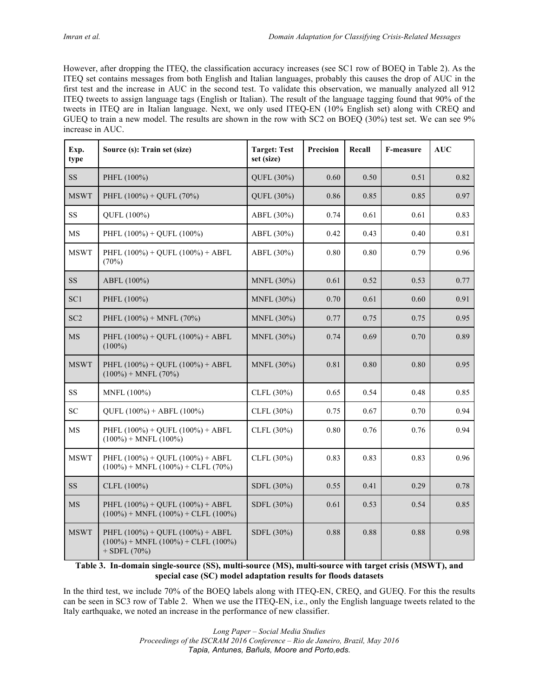However, after dropping the ITEQ, the classification accuracy increases (see SC1 row of BOEQ in Table 2). As the ITEQ set contains messages from both English and Italian languages, probably this causes the drop of AUC in the first test and the increase in AUC in the second test. To validate this observation, we manually analyzed all 912 ITEQ tweets to assign language tags (English or Italian). The result of the language tagging found that 90% of the tweets in ITEQ are in Italian language. Next, we only used ITEQ-EN (10% English set) along with CREQ and GUEQ to train a new model. The results are shown in the row with SC2 on BOEQ (30%) test set. We can see 9% increase in AUC.

| Exp.<br>type    | Source (s): Train set (size)                                                                               | <b>Target: Test</b><br>set (size) | Precision | Recall | <b>F-measure</b> | AUC  |
|-----------------|------------------------------------------------------------------------------------------------------------|-----------------------------------|-----------|--------|------------------|------|
| SS              | PHFL (100%)                                                                                                | QUFL (30%)                        | 0.60      | 0.50   | 0.51             | 0.82 |
| <b>MSWT</b>     | PHFL $(100\%)$ + QUFL $(70\%)$                                                                             | QUFL (30%)                        | 0.86      | 0.85   | 0.85             | 0.97 |
| <b>SS</b>       | QUFL (100%)                                                                                                | ABFL (30%)                        | 0.74      | 0.61   | 0.61             | 0.83 |
| <b>MS</b>       | PHFL $(100\%)$ + QUFL $(100\%)$                                                                            | ABFL (30%)                        | 0.42      | 0.43   | 0.40             | 0.81 |
| <b>MSWT</b>     | PHFL $(100\%)$ + QUFL $(100\%)$ + ABFL<br>(70%)                                                            | ABFL (30%)                        | 0.80      | 0.80   | 0.79             | 0.96 |
| <b>SS</b>       | ABFL (100%)                                                                                                | MNFL (30%)                        | 0.61      | 0.52   | 0.53             | 0.77 |
| SC <sub>1</sub> | PHFL (100%)                                                                                                | MNFL (30%)                        | 0.70      | 0.61   | 0.60             | 0.91 |
| SC <sub>2</sub> | PHFL $(100\%)$ + MNFL $(70\%)$                                                                             | MNFL (30%)                        | 0.77      | 0.75   | 0.75             | 0.95 |
| <b>MS</b>       | PHFL $(100\%)$ + OUFL $(100\%)$ + ABFL<br>$(100\%)$                                                        | MNFL (30%)                        | 0.74      | 0.69   | 0.70             | 0.89 |
| <b>MSWT</b>     | PHFL $(100\%)$ + QUFL $(100\%)$ + ABFL<br>$(100\%) + MNFL (70\%)$                                          | MNFL (30%)                        | 0.81      | 0.80   | 0.80             | 0.95 |
| SS              | MNFL (100%)                                                                                                | CLFL (30%)                        | 0.65      | 0.54   | 0.48             | 0.85 |
| <b>SC</b>       | $OUTL (100%) + ABFL (100%)$                                                                                | CLFL (30%)                        | 0.75      | 0.67   | 0.70             | 0.94 |
| MS              | PHFL $(100\%)$ + QUFL $(100\%)$ + ABFL<br>$(100\%) + MNFL (100\%)$                                         | CLFL (30%)                        | 0.80      | 0.76   | 0.76             | 0.94 |
| <b>MSWT</b>     | PHFL $(100\%)$ + QUFL $(100\%)$ + ABFL<br>$(100\%)$ + MNFL $(100\%)$ + CLFL $(70\%)$                       | CLFL (30%)                        | 0.83      | 0.83   | 0.83             | 0.96 |
| <b>SS</b>       | CLFL (100%)                                                                                                | SDFL (30%)                        | 0.55      | 0.41   | 0.29             | 0.78 |
| MS              | PHFL $(100\%)$ + OUFL $(100\%)$ + ABFL<br>$(100\%)$ + MNFL $(100\%)$ + CLFL $(100\%)$                      | SDFL (30%)                        | 0.61      | 0.53   | 0.54             | 0.85 |
| <b>MSWT</b>     | PHFL $(100\%)$ + QUFL $(100\%)$ + ABFL<br>$(100\%)$ + MNFL $(100\%)$ + CLFL $(100\%)$<br>$+$ SDFL $(70\%)$ | SDFL (30%)                        | 0.88      | 0.88   | 0.88             | 0.98 |

**Table 3. In-domain single-source (SS), multi-source (MS), multi-source with target crisis (MSWT), and special case (SC) model adaptation results for floods datasets**

In the third test, we include 70% of the BOEQ labels along with ITEQ-EN, CREQ, and GUEQ. For this the results can be seen in SC3 row of Table 2. When we use the ITEQ-EN, i.e., only the English language tweets related to the Italy earthquake, we noted an increase in the performance of new classifier.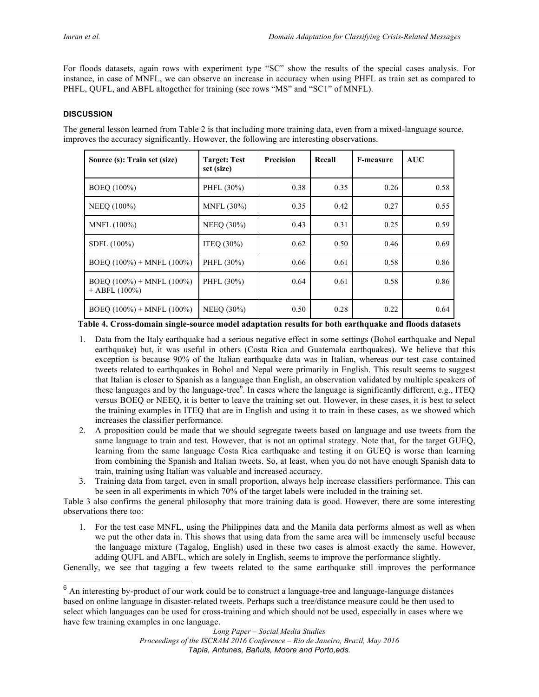For floods datasets, again rows with experiment type "SC" show the results of the special cases analysis. For instance, in case of MNFL, we can observe an increase in accuracy when using PHFL as train set as compared to PHFL, QUFL, and ABFL altogether for training (see rows "MS" and "SC1" of MNFL).

# **DISCUSSION**

The general lesson learned from Table 2 is that including more training data, even from a mixed-language source, improves the accuracy significantly. However, the following are interesting observations.

| Source (s): Train set (size)                       | <b>Target: Test</b><br>set (size) | <b>Precision</b> | Recall | <b>F-measure</b> | AUC  |
|----------------------------------------------------|-----------------------------------|------------------|--------|------------------|------|
| BOEQ (100%)                                        | PHFL (30%)                        | 0.38             | 0.35   | 0.26             | 0.58 |
| NEEQ (100%)                                        | MNFL $(30\%)$                     | 0.35             | 0.42   | 0.27             | 0.55 |
| MNFL (100%)                                        | <b>NEEQ (30%)</b>                 | 0.43             | 0.31   | 0.25             | 0.59 |
| SDFL (100%)                                        | ITEO $(30\%)$                     | 0.62             | 0.50   | 0.46             | 0.69 |
| BOEO $(100\%)$ + MNFL $(100\%)$                    | PHFL (30%)                        | 0.66             | 0.61   | 0.58             | 0.86 |
| BOEO $(100\%)$ + MNFL $(100\%)$<br>$+$ ABFL (100%) | PHFL (30%)                        | 0.64             | 0.61   | 0.58             | 0.86 |
| BOEQ $(100\%)$ + MNFL $(100\%)$                    | <b>NEEQ (30%)</b>                 | 0.50             | 0.28   | 0.22             | 0.64 |

**Table 4. Cross-domain single-source model adaptation results for both earthquake and floods datasets**

- 1. Data from the Italy earthquake had a serious negative effect in some settings (Bohol earthquake and Nepal earthquake) but, it was useful in others (Costa Rica and Guatemala earthquakes). We believe that this exception is because 90% of the Italian earthquake data was in Italian, whereas our test case contained tweets related to earthquakes in Bohol and Nepal were primarily in English. This result seems to suggest that Italian is closer to Spanish as a language than English, an observation validated by multiple speakers of these languages and by the language-tree<sup>6</sup>. In cases where the language is significantly different, e.g., ITEQ versus BOEQ or NEEQ, it is better to leave the training set out. However, in these cases, it is best to select the training examples in ITEQ that are in English and using it to train in these cases, as we showed which increases the classifier performance.
- 2. A proposition could be made that we should segregate tweets based on language and use tweets from the same language to train and test. However, that is not an optimal strategy. Note that, for the target GUEQ, learning from the same language Costa Rica earthquake and testing it on GUEQ is worse than learning from combining the Spanish and Italian tweets. So, at least, when you do not have enough Spanish data to train, training using Italian was valuable and increased accuracy.
- 3. Training data from target, even in small proportion, always help increase classifiers performance. This can be seen in all experiments in which 70% of the target labels were included in the training set.

Table 3 also confirms the general philosophy that more training data is good. However, there are some interesting observations there too:

1. For the test case MNFL, using the Philippines data and the Manila data performs almost as well as when we put the other data in. This shows that using data from the same area will be immensely useful because the language mixture (Tagalog, English) used in these two cases is almost exactly the same. However, adding QUFL and ABFL, which are solely in English, seems to improve the performance slightly.

Generally, we see that tagging a few tweets related to the same earthquake still improves the performance

 <sup>6</sup> An interesting by-product of our work could be to construct a language-tree and language-language distances based on online language in disaster-related tweets. Perhaps such a tree/distance measure could be then used to select which languages can be used for cross-training and which should not be used, especially in cases where we have few training examples in one language.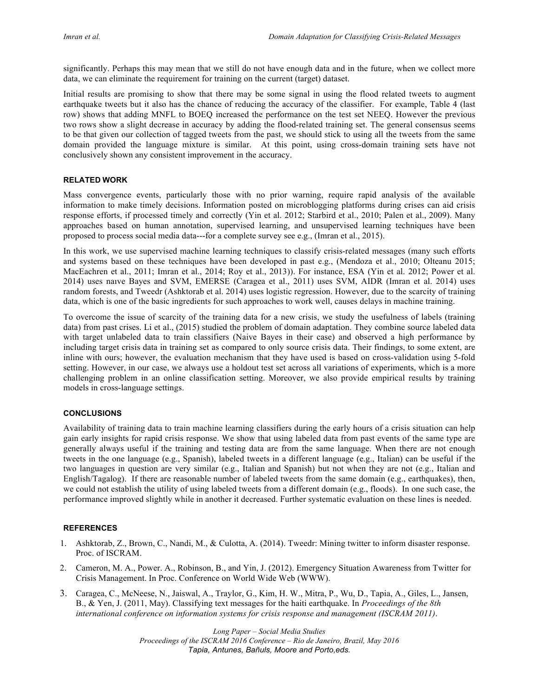significantly. Perhaps this may mean that we still do not have enough data and in the future, when we collect more data, we can eliminate the requirement for training on the current (target) dataset.

Initial results are promising to show that there may be some signal in using the flood related tweets to augment earthquake tweets but it also has the chance of reducing the accuracy of the classifier. For example, Table 4 (last row) shows that adding MNFL to BOEQ increased the performance on the test set NEEQ. However the previous two rows show a slight decrease in accuracy by adding the flood-related training set. The general consensus seems to be that given our collection of tagged tweets from the past, we should stick to using all the tweets from the same domain provided the language mixture is similar. At this point, using cross-domain training sets have not conclusively shown any consistent improvement in the accuracy.

#### **RELATED WORK**

Mass convergence events, particularly those with no prior warning, require rapid analysis of the available information to make timely decisions. Information posted on microblogging platforms during crises can aid crisis response efforts, if processed timely and correctly (Yin et al. 2012; Starbird et al., 2010; Palen et al., 2009). Many approaches based on human annotation, supervised learning, and unsupervised learning techniques have been proposed to process social media data---for a complete survey see e.g., (Imran et al., 2015).

In this work, we use supervised machine learning techniques to classify crisis-related messages (many such efforts and systems based on these techniques have been developed in past e.g., (Mendoza et al., 2010; Olteanu 2015; MacEachren et al., 2011; Imran et al., 2014; Roy et al., 2013)). For instance, ESA (Yin et al. 2012; Power et al. 2014) uses naıve Bayes and SVM, EMERSE (Caragea et al., 2011) uses SVM, AIDR (Imran et al. 2014) uses random forests, and Tweedr (Ashktorab et al. 2014) uses logistic regression. However, due to the scarcity of training data, which is one of the basic ingredients for such approaches to work well, causes delays in machine training.

To overcome the issue of scarcity of the training data for a new crisis, we study the usefulness of labels (training data) from past crises. Li et al., (2015) studied the problem of domain adaptation. They combine source labeled data with target unlabeled data to train classifiers (Naive Bayes in their case) and observed a high performance by including target crisis data in training set as compared to only source crisis data. Their findings, to some extent, are inline with ours; however, the evaluation mechanism that they have used is based on cross-validation using 5-fold setting. However, in our case, we always use a holdout test set across all variations of experiments, which is a more challenging problem in an online classification setting. Moreover, we also provide empirical results by training models in cross-language settings.

#### **CONCLUSIONS**

Availability of training data to train machine learning classifiers during the early hours of a crisis situation can help gain early insights for rapid crisis response. We show that using labeled data from past events of the same type are generally always useful if the training and testing data are from the same language. When there are not enough tweets in the one language (e.g., Spanish), labeled tweets in a different language (e.g., Italian) can be useful if the two languages in question are very similar (e.g., Italian and Spanish) but not when they are not (e.g., Italian and English/Tagalog). If there are reasonable number of labeled tweets from the same domain (e.g., earthquakes), then, we could not establish the utility of using labeled tweets from a different domain (e.g., floods). In one such case, the performance improved slightly while in another it decreased. Further systematic evaluation on these lines is needed.

## **REFERENCES**

- 1. Ashktorab, Z., Brown, C., Nandi, M., & Culotta, A. (2014). Tweedr: Mining twitter to inform disaster response. Proc. of ISCRAM.
- 2. Cameron, M. A., Power. A., Robinson, B., and Yin, J. (2012). Emergency Situation Awareness from Twitter for Crisis Management. In Proc. Conference on World Wide Web (WWW).
- 3. Caragea, C., McNeese, N., Jaiswal, A., Traylor, G., Kim, H. W., Mitra, P., Wu, D., Tapia, A., Giles, L., Jansen, B., & Yen, J. (2011, May). Classifying text messages for the haiti earthquake. In *Proceedings of the 8th international conference on information systems for crisis response and management (ISCRAM 2011)*.